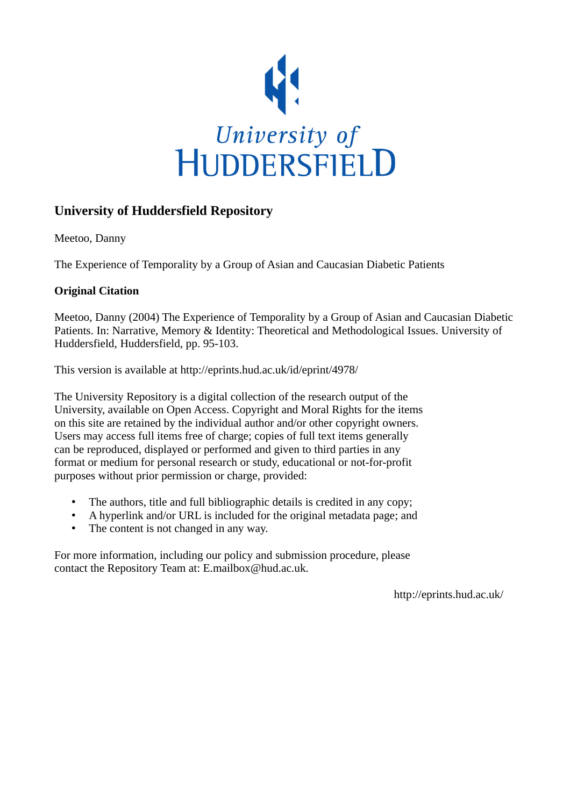

# **University of Huddersfield Repository**

Meetoo, Danny

The Experience of Temporality by a Group of Asian and Caucasian Diabetic Patients

# **Original Citation**

Meetoo, Danny (2004) The Experience of Temporality by a Group of Asian and Caucasian Diabetic Patients. In: Narrative, Memory & Identity: Theoretical and Methodological Issues. University of Huddersfield, Huddersfield, pp. 95-103.

This version is available at http://eprints.hud.ac.uk/id/eprint/4978/

The University Repository is a digital collection of the research output of the University, available on Open Access. Copyright and Moral Rights for the items on this site are retained by the individual author and/or other copyright owners. Users may access full items free of charge; copies of full text items generally can be reproduced, displayed or performed and given to third parties in any format or medium for personal research or study, educational or not-for-profit purposes without prior permission or charge, provided:

- The authors, title and full bibliographic details is credited in any copy;
- A hyperlink and/or URL is included for the original metadata page; and
- The content is not changed in any way.

For more information, including our policy and submission procedure, please contact the Repository Team at: E.mailbox@hud.ac.uk.

http://eprints.hud.ac.uk/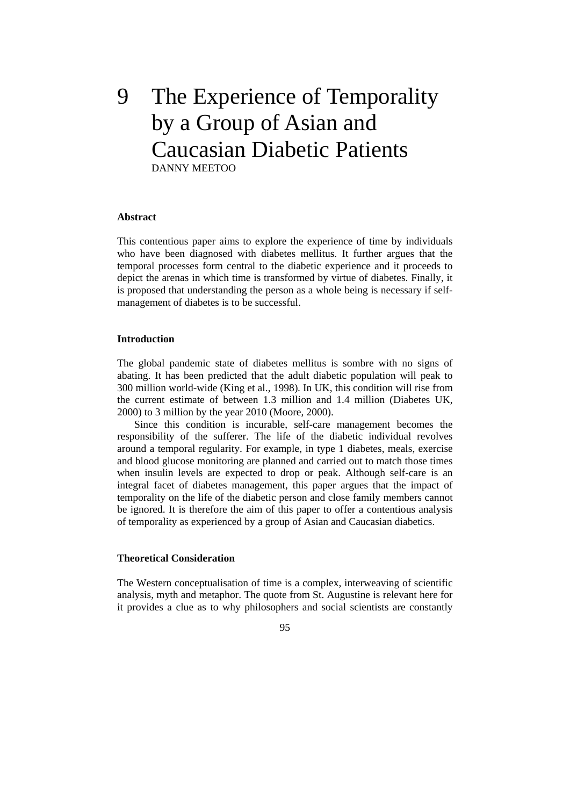# 9 The Experience of Temporality by a Group of Asian and Caucasian Diabetic Patients DANNY MEETOO

# **Abstract**

This contentious paper aims to explore the experience of time by individuals who have been diagnosed with diabetes mellitus. It further argues that the temporal processes form central to the diabetic experience and it proceeds to depict the arenas in which time is transformed by virtue of diabetes. Finally, it is proposed that understanding the person as a whole being is necessary if selfmanagement of diabetes is to be successful.

#### **Introduction**

The global pandemic state of diabetes mellitus is sombre with no signs of abating. It has been predicted that the adult diabetic population will peak to 300 million world-wide (King et al., 1998). In UK, this condition will rise from the current estimate of between 1.3 million and 1.4 million (Diabetes UK, 2000) to 3 million by the year 2010 (Moore, 2000).

 Since this condition is incurable, self-care management becomes the responsibility of the sufferer. The life of the diabetic individual revolves around a temporal regularity. For example, in type 1 diabetes, meals, exercise and blood glucose monitoring are planned and carried out to match those times when insulin levels are expected to drop or peak. Although self-care is an integral facet of diabetes management, this paper argues that the impact of temporality on the life of the diabetic person and close family members cannot be ignored. It is therefore the aim of this paper to offer a contentious analysis of temporality as experienced by a group of Asian and Caucasian diabetics.

# **Theoretical Consideration**

The Western conceptualisation of time is a complex, interweaving of scientific analysis, myth and metaphor. The quote from St. Augustine is relevant here for it provides a clue as to why philosophers and social scientists are constantly

95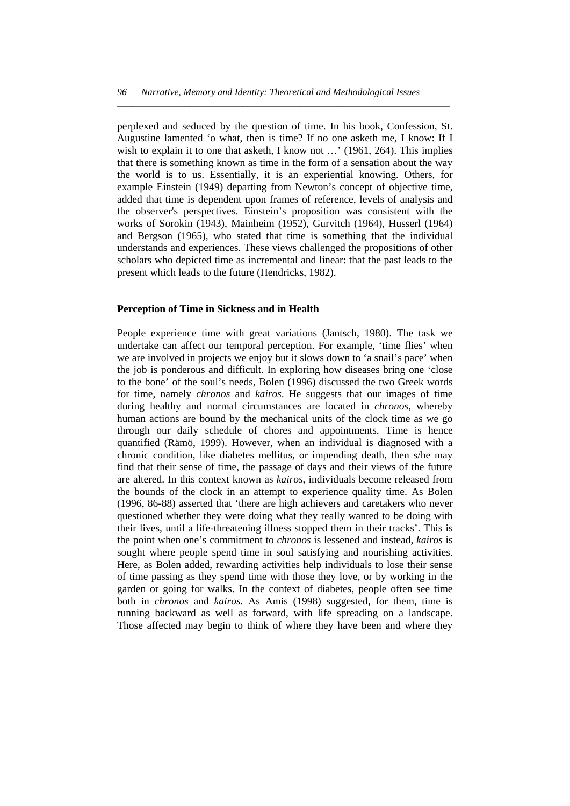*\_\_\_\_\_\_\_\_\_\_\_\_\_\_\_\_\_\_\_\_\_\_\_\_\_\_\_\_\_\_\_\_\_\_\_\_\_\_\_\_\_\_\_\_\_\_\_\_\_\_\_\_\_\_\_\_\_\_\_\_\_\_\_\_\_\_\_\_\_* 

perplexed and seduced by the question of time. In his book, Confession, St. Augustine lamented 'o what, then is time? If no one asketh me, I know: If I wish to explain it to one that asketh, I know not ...' (1961, 264). This implies that there is something known as time in the form of a sensation about the way the world is to us. Essentially, it is an experiential knowing. Others, for example Einstein (1949) departing from Newton's concept of objective time, added that time is dependent upon frames of reference, levels of analysis and the observer's perspectives. Einstein's proposition was consistent with the works of Sorokin (1943), Mainheim (1952), Gurvitch (1964), Husserl (1964) and Bergson (1965), who stated that time is something that the individual understands and experiences. These views challenged the propositions of other scholars who depicted time as incremental and linear: that the past leads to the present which leads to the future (Hendricks, 1982).

#### **Perception of Time in Sickness and in Health**

People experience time with great variations (Jantsch, 1980). The task we undertake can affect our temporal perception. For example, 'time flies' when we are involved in projects we enjoy but it slows down to 'a snail's pace' when the job is ponderous and difficult. In exploring how diseases bring one 'close to the bone' of the soul's needs, Bolen (1996) discussed the two Greek words for time, namely *chronos* and *kairos*. He suggests that our images of time during healthy and normal circumstances are located in *chronos*, whereby human actions are bound by the mechanical units of the clock time as we go through our daily schedule of chores and appointments. Time is hence quantified (Rämö, 1999). However, when an individual is diagnosed with a chronic condition, like diabetes mellitus, or impending death, then s/he may find that their sense of time, the passage of days and their views of the future are altered. In this context known as *kairos*, individuals become released from the bounds of the clock in an attempt to experience quality time. As Bolen (1996, 86-88) asserted that 'there are high achievers and caretakers who never questioned whether they were doing what they really wanted to be doing with their lives, until a life-threatening illness stopped them in their tracks'. This is the point when one's commitment to *chronos* is lessened and instead, *kairos* is sought where people spend time in soul satisfying and nourishing activities. Here, as Bolen added, rewarding activities help individuals to lose their sense of time passing as they spend time with those they love, or by working in the garden or going for walks. In the context of diabetes, people often see time both in *chronos* and *kairos.* As Amis (1998) suggested, for them, time is running backward as well as forward, with life spreading on a landscape. Those affected may begin to think of where they have been and where they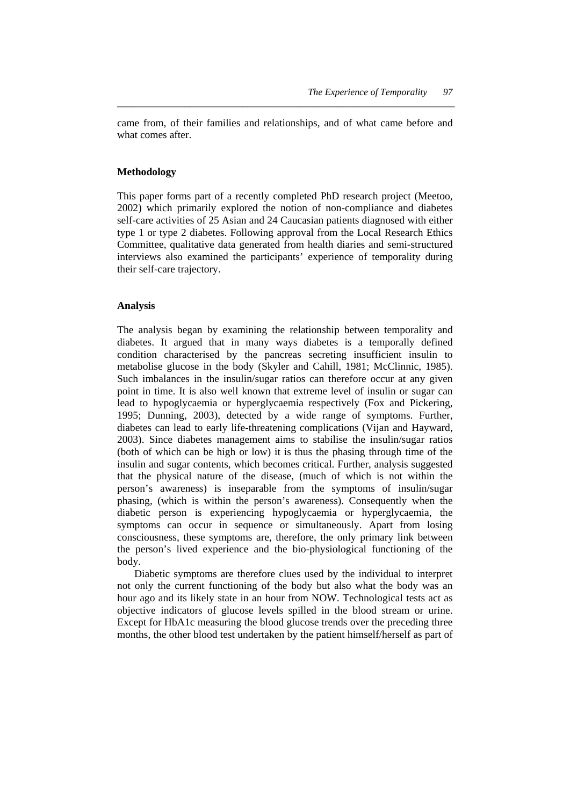came from, of their families and relationships, and of what came before and what comes after

*\_\_\_\_\_\_\_\_\_\_\_\_\_\_\_\_\_\_\_\_\_\_\_\_\_\_\_\_\_\_\_\_\_\_\_\_\_\_\_\_\_\_\_\_\_\_\_\_\_\_\_\_\_\_\_\_\_\_\_\_\_\_\_\_\_\_\_\_\_\_* 

# **Methodology**

This paper forms part of a recently completed PhD research project (Meetoo, 2002) which primarily explored the notion of non-compliance and diabetes self-care activities of 25 Asian and 24 Caucasian patients diagnosed with either type 1 or type 2 diabetes. Following approval from the Local Research Ethics Committee, qualitative data generated from health diaries and semi-structured interviews also examined the participants' experience of temporality during their self-care trajectory.

# **Analysis**

The analysis began by examining the relationship between temporality and diabetes. It argued that in many ways diabetes is a temporally defined condition characterised by the pancreas secreting insufficient insulin to metabolise glucose in the body (Skyler and Cahill, 1981; McClinnic, 1985). Such imbalances in the insulin/sugar ratios can therefore occur at any given point in time. It is also well known that extreme level of insulin or sugar can lead to hypoglycaemia or hyperglycaemia respectively (Fox and Pickering, 1995; Dunning, 2003), detected by a wide range of symptoms. Further, diabetes can lead to early life-threatening complications (Vijan and Hayward, 2003). Since diabetes management aims to stabilise the insulin/sugar ratios (both of which can be high or low) it is thus the phasing through time of the insulin and sugar contents, which becomes critical. Further, analysis suggested that the physical nature of the disease, (much of which is not within the person's awareness) is inseparable from the symptoms of insulin/sugar phasing, (which is within the person's awareness). Consequently when the diabetic person is experiencing hypoglycaemia or hyperglycaemia, the symptoms can occur in sequence or simultaneously. Apart from losing consciousness, these symptoms are, therefore, the only primary link between the person's lived experience and the bio-physiological functioning of the body.

 Diabetic symptoms are therefore clues used by the individual to interpret not only the current functioning of the body but also what the body was an hour ago and its likely state in an hour from NOW. Technological tests act as objective indicators of glucose levels spilled in the blood stream or urine. Except for HbA1c measuring the blood glucose trends over the preceding three months, the other blood test undertaken by the patient himself/herself as part of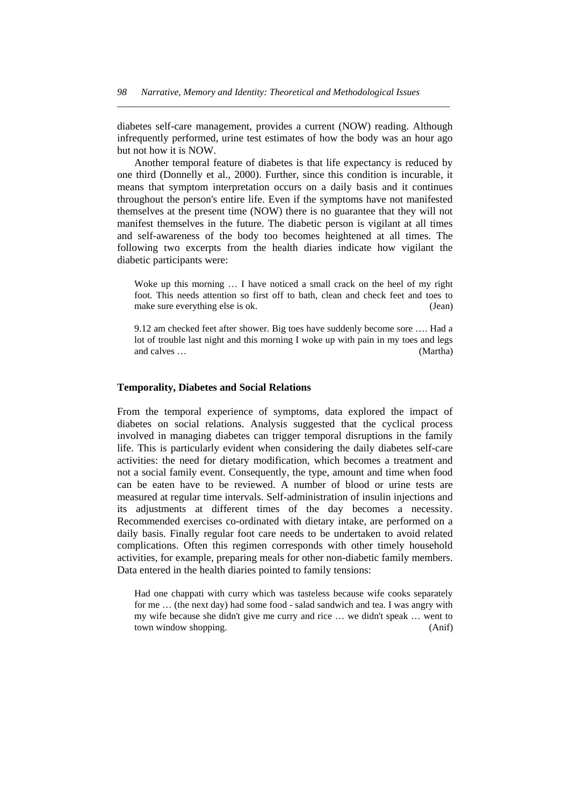diabetes self-care management, provides a current (NOW) reading. Although infrequently performed, urine test estimates of how the body was an hour ago but not how it is NOW.

*\_\_\_\_\_\_\_\_\_\_\_\_\_\_\_\_\_\_\_\_\_\_\_\_\_\_\_\_\_\_\_\_\_\_\_\_\_\_\_\_\_\_\_\_\_\_\_\_\_\_\_\_\_\_\_\_\_\_\_\_\_\_\_\_\_\_\_\_\_* 

 Another temporal feature of diabetes is that life expectancy is reduced by one third (Donnelly et al., 2000). Further, since this condition is incurable, it means that symptom interpretation occurs on a daily basis and it continues throughout the person's entire life. Even if the symptoms have not manifested themselves at the present time (NOW) there is no guarantee that they will not manifest themselves in the future. The diabetic person is vigilant at all times and self-awareness of the body too becomes heightened at all times. The following two excerpts from the health diaries indicate how vigilant the diabetic participants were:

Woke up this morning … I have noticed a small crack on the heel of my right foot. This needs attention so first off to bath, clean and check feet and toes to make sure everything else is ok. (Jean)

9.12 am checked feet after shower. Big toes have suddenly become sore …. Had a lot of trouble last night and this morning I woke up with pain in my toes and legs and calves … (Martha)

#### **Temporality, Diabetes and Social Relations**

From the temporal experience of symptoms, data explored the impact of diabetes on social relations. Analysis suggested that the cyclical process involved in managing diabetes can trigger temporal disruptions in the family life. This is particularly evident when considering the daily diabetes self-care activities: the need for dietary modification, which becomes a treatment and not a social family event. Consequently, the type, amount and time when food can be eaten have to be reviewed. A number of blood or urine tests are measured at regular time intervals. Self-administration of insulin injections and its adjustments at different times of the day becomes a necessity. Recommended exercises co-ordinated with dietary intake, are performed on a daily basis. Finally regular foot care needs to be undertaken to avoid related complications. Often this regimen corresponds with other timely household activities, for example, preparing meals for other non-diabetic family members. Data entered in the health diaries pointed to family tensions:

Had one chappati with curry which was tasteless because wife cooks separately for me … (the next day) had some food - salad sandwich and tea. I was angry with my wife because she didn't give me curry and rice … we didn't speak … went to town window shopping. (Anif)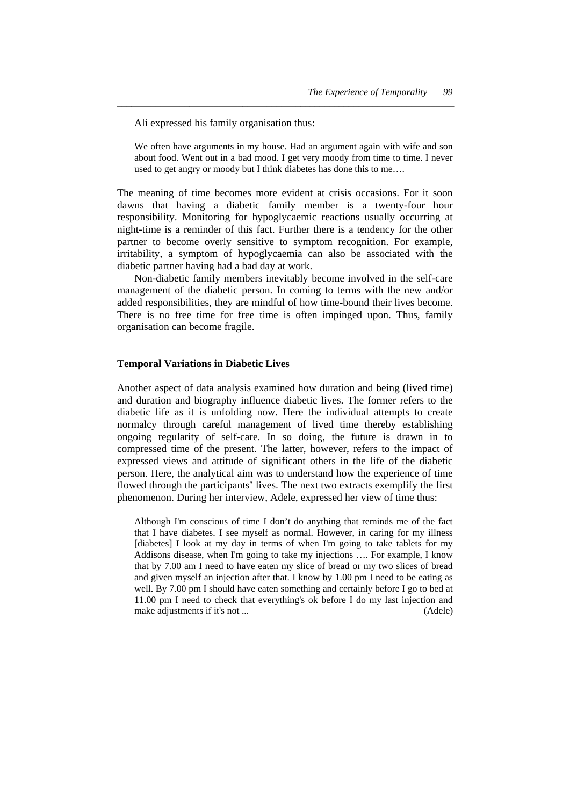Ali expressed his family organisation thus:

We often have arguments in my house. Had an argument again with wife and son about food. Went out in a bad mood. I get very moody from time to time. I never used to get angry or moody but I think diabetes has done this to me….

*\_\_\_\_\_\_\_\_\_\_\_\_\_\_\_\_\_\_\_\_\_\_\_\_\_\_\_\_\_\_\_\_\_\_\_\_\_\_\_\_\_\_\_\_\_\_\_\_\_\_\_\_\_\_\_\_\_\_\_\_\_\_\_\_\_\_\_\_\_\_* 

The meaning of time becomes more evident at crisis occasions. For it soon dawns that having a diabetic family member is a twenty-four hour responsibility. Monitoring for hypoglycaemic reactions usually occurring at night-time is a reminder of this fact. Further there is a tendency for the other partner to become overly sensitive to symptom recognition. For example, irritability, a symptom of hypoglycaemia can also be associated with the diabetic partner having had a bad day at work.

 Non-diabetic family members inevitably become involved in the self-care management of the diabetic person. In coming to terms with the new and/or added responsibilities, they are mindful of how time-bound their lives become. There is no free time for free time is often impinged upon. Thus, family organisation can become fragile.

#### **Temporal Variations in Diabetic Lives**

Another aspect of data analysis examined how duration and being (lived time) and duration and biography influence diabetic lives. The former refers to the diabetic life as it is unfolding now. Here the individual attempts to create normalcy through careful management of lived time thereby establishing ongoing regularity of self-care. In so doing, the future is drawn in to compressed time of the present. The latter, however, refers to the impact of expressed views and attitude of significant others in the life of the diabetic person. Here, the analytical aim was to understand how the experience of time flowed through the participants' lives. The next two extracts exemplify the first phenomenon. During her interview, Adele, expressed her view of time thus:

Although I'm conscious of time I don't do anything that reminds me of the fact that I have diabetes. I see myself as normal. However, in caring for my illness [diabetes] I look at my day in terms of when I'm going to take tablets for my Addisons disease, when I'm going to take my injections …. For example, I know that by 7.00 am I need to have eaten my slice of bread or my two slices of bread and given myself an injection after that. I know by 1.00 pm I need to be eating as well. By 7.00 pm I should have eaten something and certainly before I go to bed at 11.00 pm I need to check that everything's ok before I do my last injection and make adjustments if it's not ... (Adele)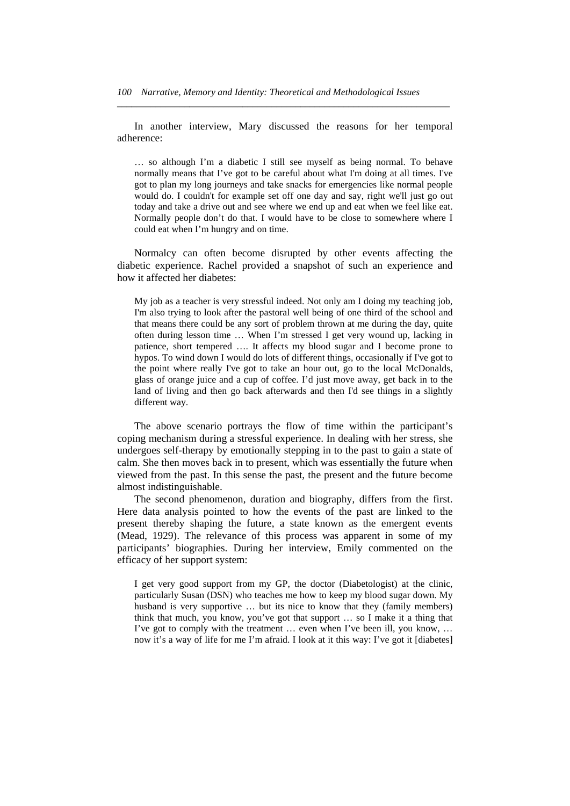In another interview, Mary discussed the reasons for her temporal adherence:

*\_\_\_\_\_\_\_\_\_\_\_\_\_\_\_\_\_\_\_\_\_\_\_\_\_\_\_\_\_\_\_\_\_\_\_\_\_\_\_\_\_\_\_\_\_\_\_\_\_\_\_\_\_\_\_\_\_\_\_\_\_\_\_\_\_\_\_\_\_* 

… so although I'm a diabetic I still see myself as being normal. To behave normally means that I've got to be careful about what I'm doing at all times. I've got to plan my long journeys and take snacks for emergencies like normal people would do. I couldn't for example set off one day and say, right we'll just go out today and take a drive out and see where we end up and eat when we feel like eat. Normally people don't do that. I would have to be close to somewhere where I could eat when I'm hungry and on time.

 Normalcy can often become disrupted by other events affecting the diabetic experience. Rachel provided a snapshot of such an experience and how it affected her diabetes:

My job as a teacher is very stressful indeed. Not only am I doing my teaching job, I'm also trying to look after the pastoral well being of one third of the school and that means there could be any sort of problem thrown at me during the day, quite often during lesson time … When I'm stressed I get very wound up, lacking in patience, short tempered …. It affects my blood sugar and I become prone to hypos. To wind down I would do lots of different things, occasionally if I've got to the point where really I've got to take an hour out, go to the local McDonalds, glass of orange juice and a cup of coffee. I'd just move away, get back in to the land of living and then go back afterwards and then I'd see things in a slightly different way.

 The above scenario portrays the flow of time within the participant's coping mechanism during a stressful experience. In dealing with her stress, she undergoes self-therapy by emotionally stepping in to the past to gain a state of calm. She then moves back in to present, which was essentially the future when viewed from the past. In this sense the past, the present and the future become almost indistinguishable.

 The second phenomenon, duration and biography, differs from the first. Here data analysis pointed to how the events of the past are linked to the present thereby shaping the future, a state known as the emergent events (Mead, 1929). The relevance of this process was apparent in some of my participants' biographies. During her interview, Emily commented on the efficacy of her support system:

I get very good support from my GP, the doctor (Diabetologist) at the clinic, particularly Susan (DSN) who teaches me how to keep my blood sugar down. My husband is very supportive ... but its nice to know that they (family members) think that much, you know, you've got that support … so I make it a thing that I've got to comply with the treatment … even when I've been ill, you know, … now it's a way of life for me I'm afraid. I look at it this way: I've got it [diabetes]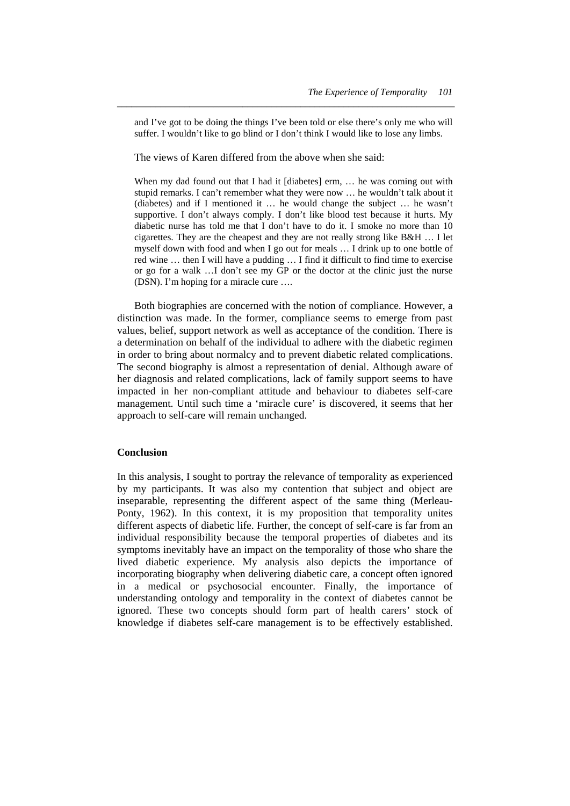and I've got to be doing the things I've been told or else there's only me who will suffer. I wouldn't like to go blind or I don't think I would like to lose any limbs.

*\_\_\_\_\_\_\_\_\_\_\_\_\_\_\_\_\_\_\_\_\_\_\_\_\_\_\_\_\_\_\_\_\_\_\_\_\_\_\_\_\_\_\_\_\_\_\_\_\_\_\_\_\_\_\_\_\_\_\_\_\_\_\_\_\_\_\_\_\_\_* 

The views of Karen differed from the above when she said:

When my dad found out that I had it [diabetes] erm, ... he was coming out with stupid remarks. I can't remember what they were now … he wouldn't talk about it (diabetes) and if I mentioned it … he would change the subject … he wasn't supportive. I don't always comply. I don't like blood test because it hurts. My diabetic nurse has told me that I don't have to do it. I smoke no more than 10 cigarettes. They are the cheapest and they are not really strong like B&H … I let myself down with food and when I go out for meals … I drink up to one bottle of red wine … then I will have a pudding … I find it difficult to find time to exercise or go for a walk …I don't see my GP or the doctor at the clinic just the nurse (DSN). I'm hoping for a miracle cure ….

 Both biographies are concerned with the notion of compliance. However, a distinction was made. In the former, compliance seems to emerge from past values, belief, support network as well as acceptance of the condition. There is a determination on behalf of the individual to adhere with the diabetic regimen in order to bring about normalcy and to prevent diabetic related complications. The second biography is almost a representation of denial. Although aware of her diagnosis and related complications, lack of family support seems to have impacted in her non-compliant attitude and behaviour to diabetes self-care management. Until such time a 'miracle cure' is discovered, it seems that her approach to self-care will remain unchanged.

## **Conclusion**

In this analysis, I sought to portray the relevance of temporality as experienced by my participants. It was also my contention that subject and object are inseparable, representing the different aspect of the same thing (Merleau-Ponty, 1962). In this context, it is my proposition that temporality unites different aspects of diabetic life. Further, the concept of self-care is far from an individual responsibility because the temporal properties of diabetes and its symptoms inevitably have an impact on the temporality of those who share the lived diabetic experience. My analysis also depicts the importance of incorporating biography when delivering diabetic care, a concept often ignored in a medical or psychosocial encounter. Finally, the importance of understanding ontology and temporality in the context of diabetes cannot be ignored. These two concepts should form part of health carers' stock of knowledge if diabetes self-care management is to be effectively established.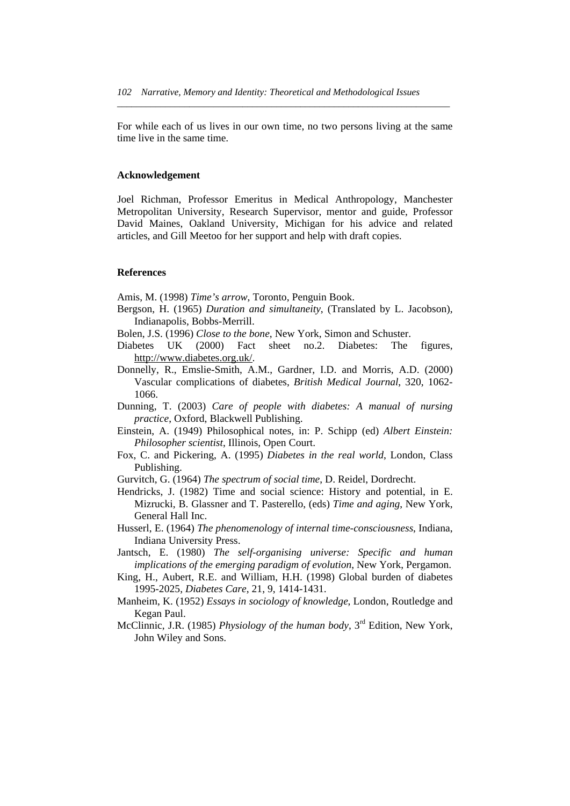For while each of us lives in our own time, no two persons living at the same time live in the same time.

*\_\_\_\_\_\_\_\_\_\_\_\_\_\_\_\_\_\_\_\_\_\_\_\_\_\_\_\_\_\_\_\_\_\_\_\_\_\_\_\_\_\_\_\_\_\_\_\_\_\_\_\_\_\_\_\_\_\_\_\_\_\_\_\_\_\_\_\_\_* 

#### **Acknowledgement**

Joel Richman, Professor Emeritus in Medical Anthropology, Manchester Metropolitan University, Research Supervisor, mentor and guide, Professor David Maines, Oakland University, Michigan for his advice and related articles, and Gill Meetoo for her support and help with draft copies.

#### **References**

Amis, M. (1998) *Time's arrow*, Toronto, Penguin Book.

- Bergson, H. (1965) *Duration and simultaneity*, (Translated by L. Jacobson), Indianapolis, Bobbs-Merrill.
- Bolen, J.S. (1996) *Close to the bone*, New York, Simon and Schuster.
- Diabetes UK (2000) Fact sheet no.2. Diabetes: The figures, http://www.diabetes.org.uk/.
- Donnelly, R., Emslie-Smith, A.M., Gardner, I.D. and Morris, A.D. (2000) Vascular complications of diabetes, *British Medical Journal*, 320, 1062- 1066.
- Dunning, T. (2003) *Care of people with diabetes: A manual of nursing practice*, Oxford, Blackwell Publishing.
- Einstein, A. (1949) Philosophical notes, in: P. Schipp (ed) *Albert Einstein: Philosopher scientist*, Illinois, Open Court.
- Fox, C. and Pickering, A. (1995) *Diabetes in the real world*, London, Class Publishing.
- Gurvitch, G. (1964) *The spectrum of social time*, D. Reidel, Dordrecht.
- Hendricks, J. (1982) Time and social science: History and potential, in E. Mizrucki, B. Glassner and T. Pasterello, (eds) *Time and aging*, New York, General Hall Inc.
- Husserl, E. (1964) *The phenomenology of internal time-consciousness*, Indiana, Indiana University Press.
- Jantsch, E. (1980) *The self-organising universe: Specific and human implications of the emerging paradigm of evolution*, New York, Pergamon.
- King, H., Aubert, R.E. and William, H.H. (1998) Global burden of diabetes 1995-2025, *Diabetes Care*, 21, 9, 1414-1431.
- Manheim, K. (1952) *Essays in sociology of knowledge*, London, Routledge and Kegan Paul.
- McClinnic, J.R. (1985) *Physiology of the human body*, 3rd Edition, New York, John Wiley and Sons.